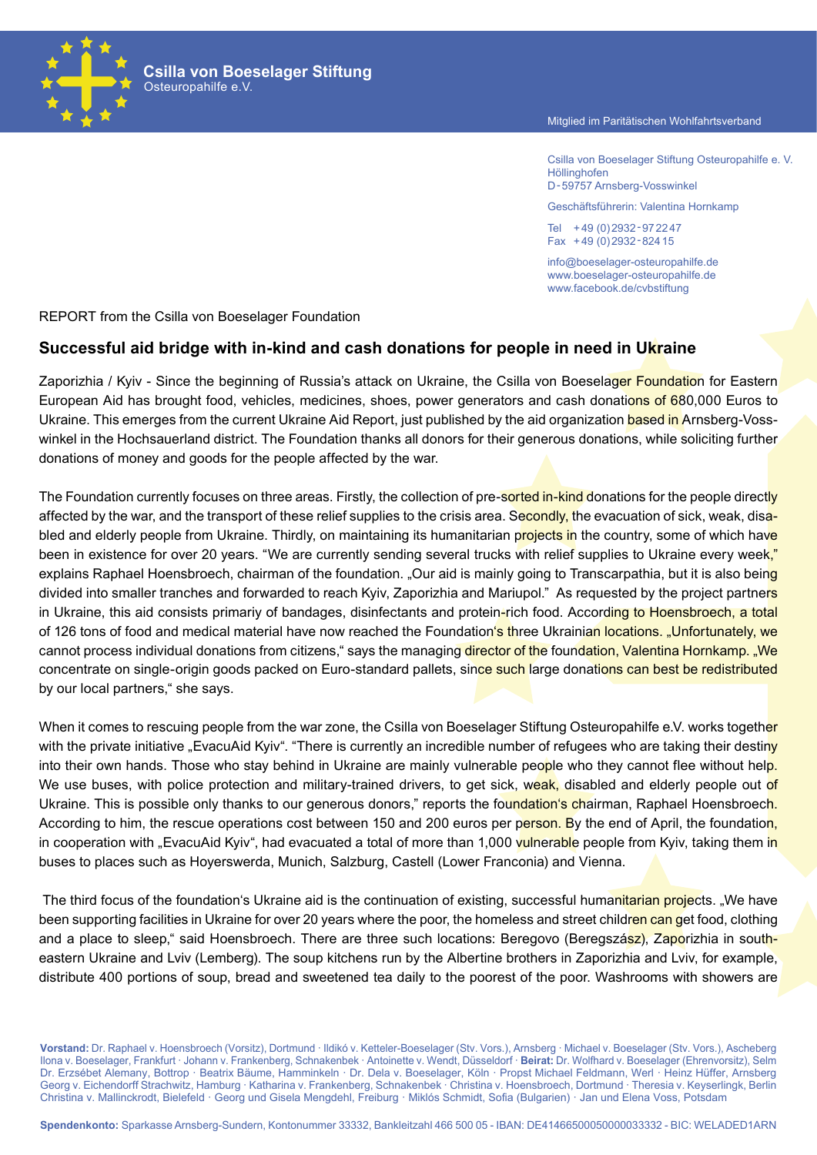#### Mitglied im Paritätischen Wohlfahrtsverband

Csilla von Boeselager Stiftung Osteuropahilfe e. V. **Höllinghofen** D-59757 Arnsberg-Vosswinkel

Geschäftsführerin: Valentina Hornkamp

Tel +49 (0)2932‑972247 Fax +49 (0)2932‑82415

info@boeselager-osteuropahilfe.de www.boeselager-osteuropahilfe.de www.facebook.de/cvbstiftung

REPORT from the Csilla von Boeselager Foundation

Osteuropahilfe e.V.

**Csilla von Boeselager Stiftung**

### **Successful aid bridge with in-kind and cash donations for people in need in Ukraine**

Zaporizhia / Kyiv - Since the beginning of Russia's attack on Ukraine, the Csilla von Boeselager Foundation for Eastern European Aid has brought food, vehicles, medicines, shoes, power generators and cash donations of 680,000 Euros to Ukraine. This emerges from the current Ukraine Aid Report, just published by the aid organization based in Arnsberg-Vosswinkel in the Hochsauerland district. The Foundation thanks all donors for their generous donations, while soliciting further donations of money and goods for the people affected by the war.

The Foundation currently focuses on three areas. Firstly, the collection of pre-sorted in-kind donations for the people directly affected by the war, and the transport of these relief supplies to the crisis area. Secondly, the evacuation of sick, weak, disabled and elderly people from Ukraine. Thirdly, on maintaining its humanitarian projects in the country, some of which have been in existence for over 20 years. "We are currently sending several trucks with relief supplies to Ukraine every week," explains Raphael Hoensbroech, chairman of the foundation. "Our aid is mainly going to Transcarpathia, but it is also being divided into smaller tranches and forwarded to reach Kyiv, Zaporizhia and Mariupol." As requested by the project partners in Ukraine, this aid consists primariy of bandages, disinfectants and protein-rich food. According to Hoensbroech, a total of 126 tons of food and medical material have now reached the Foundation's three Ukrainian locations. "Unfortunately, we cannot process individual donations from citizens," says the managing director of the foundation, Valentina Hornkamp. "We concentrate on single-origin goods packed on Euro-standard pallets, since such large donations can best be redistributed by our local partners," she says.

When it comes to rescuing people from the war zone, the Csilla von Boeselager Stiftung Osteuropahilfe e.V. works together with the private initiative "EvacuAid Kyiv". "There is currently an incredible number of refugees who are taking their destiny into their own hands. Those who stay behind in Ukraine are mainly vulnerable people who they cannot flee without help. We use buses, with police protection and military-trained drivers, to get sick, weak, disabled and elderly people out of Ukraine. This is possible only thanks to our generous donors," reports the foundation's chairman. Raphael Hoensbroech. According to him, the rescue operations cost between 150 and 200 euros per person. By the end of April, the foundation, in cooperation with "EvacuAid Kyiv", had evacuated a total of more than 1,000 vulnerable people from Kyiv, taking them in buses to places such as Hoyerswerda, Munich, Salzburg, Castell (Lower Franconia) and Vienna.

The third focus of the foundation's Ukraine aid is the continuation of existing, successful humanitarian projects. "We have been supporting facilities in Ukraine for over 20 years where the poor, the homeless and street children can get food, clothing and a place to sleep," said Hoensbroech. There are three such locations: Beregovo (Beregszász), Zaporizhia in southeastern Ukraine and Lviv (Lemberg). The soup kitchens run by the Albertine brothers in Zaporizhia and Lviv, for example, distribute 400 portions of soup, bread and sweetened tea daily to the poorest of the poor. Washrooms with showers are

**Vorstand:** Dr. Raphael v. Hoensbroech (Vorsitz), Dortmund · Ildikó v. Ketteler-Boeselager (Stv. Vors.), Arnsberg · Michael v. Boeselager (Stv. Vors.), Ascheberg Ilona v. Boeselager, Frankfurt · Johann v. Frankenberg, Schnakenbek · Antoinette v. Wendt, Düsseldorf · **Beirat:** Dr. Wolfhard v. Boeselager (Ehrenvorsitz), Selm Dr. Erzsébet Alemany, Bottrop · Beatrix Bäume, Hamminkeln · Dr. Dela v. Boeselager, Köln · Propst Michael Feldmann, Werl · Heinz Hüffer, Arnsberg Georg v. Eichendorff Strachwitz, Hamburg · Katharina v. Frankenberg, Schnakenbek · Christina v. Hoensbroech, Dortmund · Theresia v. Keyserlingk, Berlin Christina v. Mallinckrodt, Bielefeld · Georg und Gisela Mengdehl, Freiburg · Miklós Schmidt, Sofia (Bulgarien) · Jan und Elena Voss, Potsdam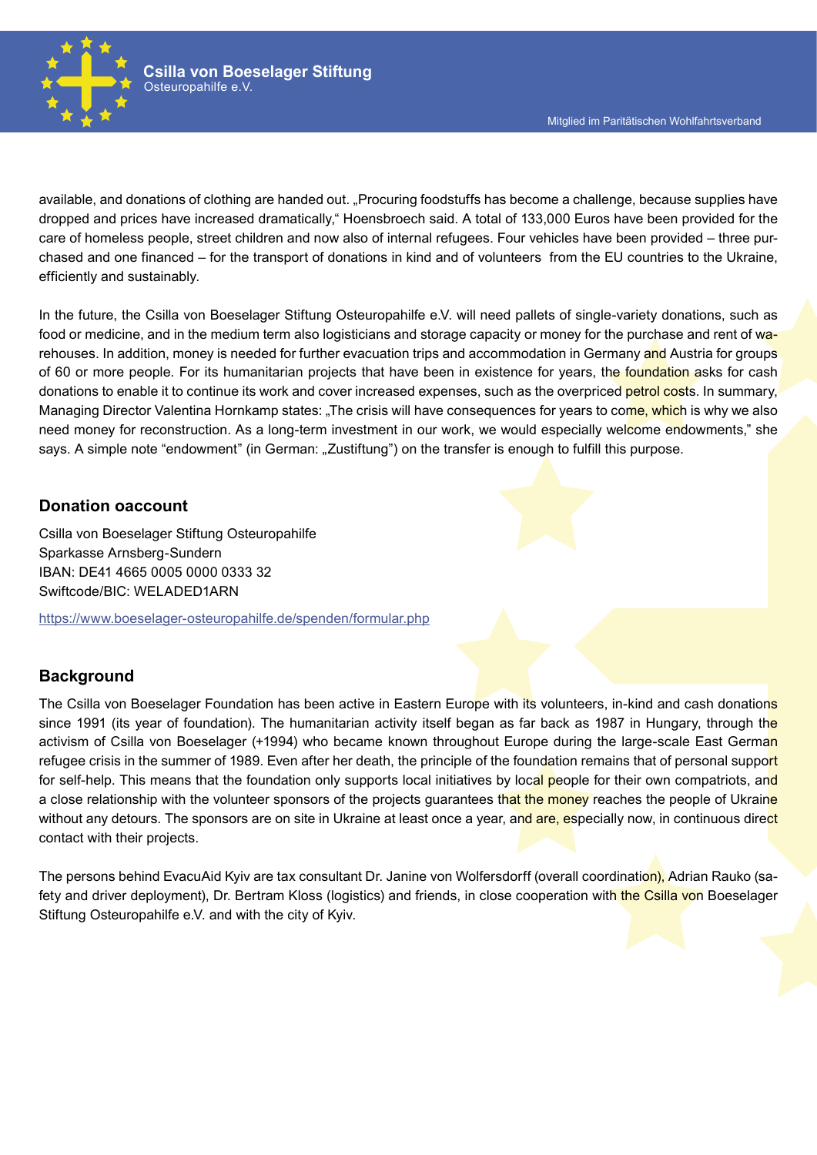

available, and donations of clothing are handed out. "Procuring foodstuffs has become a challenge, because supplies have dropped and prices have increased dramatically," Hoensbroech said. A total of 133,000 Euros have been provided for the care of homeless people, street children and now also of internal refugees. Four vehicles have been provided – three purchased and one financed – for the transport of donations in kind and of volunteers from the EU countries to the Ukraine, efficiently and sustainably.

In the future, the Csilla von Boeselager Stiftung Osteuropahilfe e.V. will need pallets of single-variety donations, such as food or medicine, and in the medium term also logisticians and storage capacity or money for the purchase and rent of warehouses. In addition, money is needed for further evacuation trips and accommodation in Germany and Austria for groups of 60 or more people. For its humanitarian projects that have been in existence for years, the foundation asks for cash donations to enable it to continue its work and cover increased expenses, such as the overpriced petrol costs. In summary, Managing Director Valentina Hornkamp states: "The crisis will have consequences for years to come, which is why we also need money for reconstruction. As a long-term investment in our work, we would especially welcome endowments," she says. A simple note "endowment" (in German: "Zustiftung") on the transfer is enough to fulfill this purpose.

### **Donation oaccount**

Csilla von Boeselager Stiftung Osteuropahilfe Sparkasse Arnsberg-Sundern IBAN: DE41 4665 0005 0000 0333 32 Swiftcode/BIC: WELADED1ARN

https://www.boeselager-osteuropahilfe.de/spenden/formular.php

## **Background**

The Csilla von Boeselager Foundation has been active in Eastern Europe with its volunteers, in-kind and cash donations since 1991 (its year of foundation). The humanitarian activity itself began as far back as 1987 in Hungary, through the activism of Csilla von Boeselager (+1994) who became known throughout Europe during the large-scale East German refugee crisis in the summer of 1989. Even after her death, the principle of the foundation remains that of personal support for self-help. This means that the foundation only supports local initiatives by local people for their own compatriots, and a close relationship with the volunteer sponsors of the projects guarantees that the money reaches the people of Ukraine without any detours. The sponsors are on site in Ukraine at least once a year, and are, especially now, in continuous direct contact with their projects.

The persons behind EvacuAid Kyiv are tax consultant Dr. Janine von Wolfersdorff (overall coordination), Adrian Rauko (safety and driver deployment), Dr. Bertram Kloss (logistics) and friends, in close cooperation with the Csilla von Boeselager Stiftung Osteuropahilfe e.V. and with the city of Kyiv.